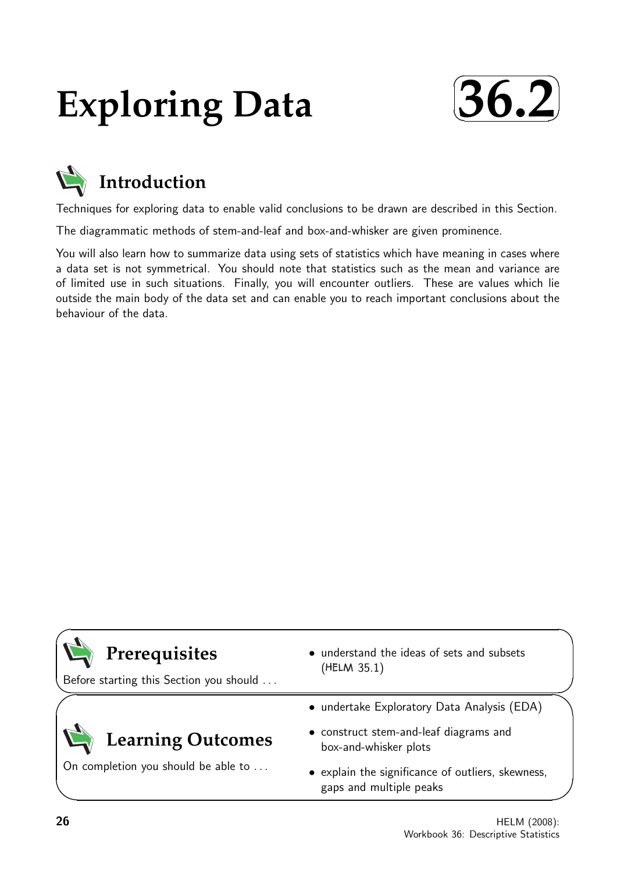# **Exploring Data**





Techniques for exploring data to enable valid conclusions to be drawn are described in this Section.

The diagrammatic methods of stem-and-leaf and box-and-whisker are given prominence.

You will also learn how to summarize data using sets of statistics which have meaning in cases where a data set is not symmetrical. You should note that statistics such as the mean and variance are of limited use in such situations. Finally, you will encounter outliers. These are values which lie outside the main body of the data set and can enable you to reach important conclusions about the behaviour of the data.

| Prerequisites<br>Before starting this Section you should | • understand the ideas of sets and subsets<br>(HELM 35.1)                    |
|----------------------------------------------------------|------------------------------------------------------------------------------|
|                                                          | • undertake Exploratory Data Analysis (EDA)                                  |
| <b>Learning Outcomes</b>                                 | • construct stem-and-leaf diagrams and<br>box-and-whisker plots              |
| On completion you should be able to                      | • explain the significance of outliers, skewness,<br>gaps and multiple peaks |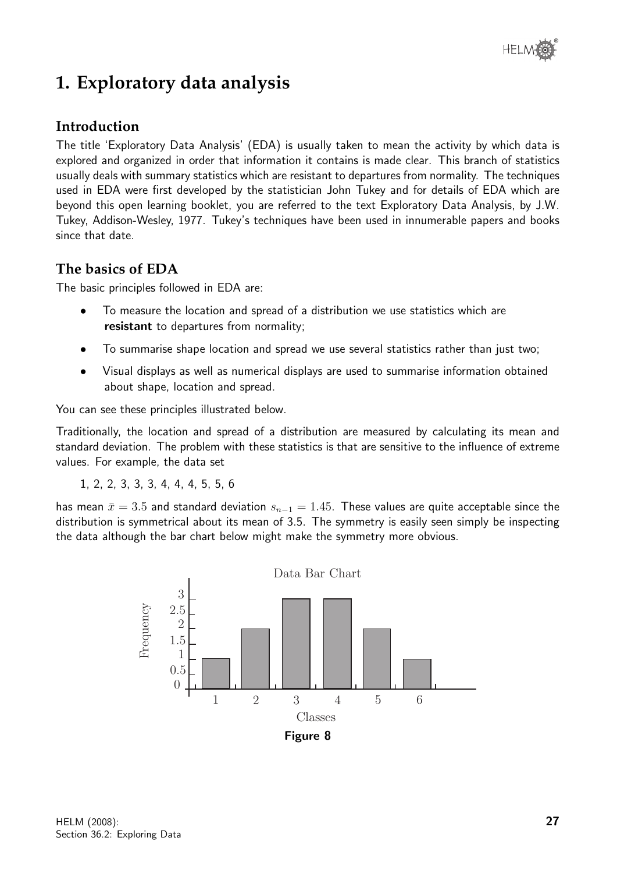

# **1. Exploratory data analysis**

## **Introduction**

The title 'Exploratory Data Analysis' (EDA) is usually taken to mean the activity by which data is explored and organized in order that information it contains is made clear. This branch of statistics usually deals with summary statistics which are resistant to departures from normality. The techniques used in EDA were first developed by the statistician John Tukey and for details of EDA which are beyond this open learning booklet, you are referred to the text Exploratory Data Analysis, by J.W. Tukey, Addison-Wesley, 1977. Tukey's techniques have been used in innumerable papers and books since that date.

## **The basics of EDA**

The basic principles followed in EDA are:

- To measure the location and spread of a distribution we use statistics which are resistant to departures from normality;
- To summarise shape location and spread we use several statistics rather than just two;
- Visual displays as well as numerical displays are used to summarise information obtained about shape, location and spread.

You can see these principles illustrated below.

Traditionally, the location and spread of a distribution are measured by calculating its mean and standard deviation. The problem with these statistics is that are sensitive to the influence of extreme values. For example, the data set

1, 2, 2, 3, 3, 3, 4, 4, 4, 5, 5, 6

has mean  $\bar{x} = 3.5$  and standard deviation  $s_{n-1} = 1.45$ . These values are quite acceptable since the distribution is symmetrical about its mean of 3.5. The symmetry is easily seen simply be inspecting the data although the bar chart below might make the symmetry more obvious.

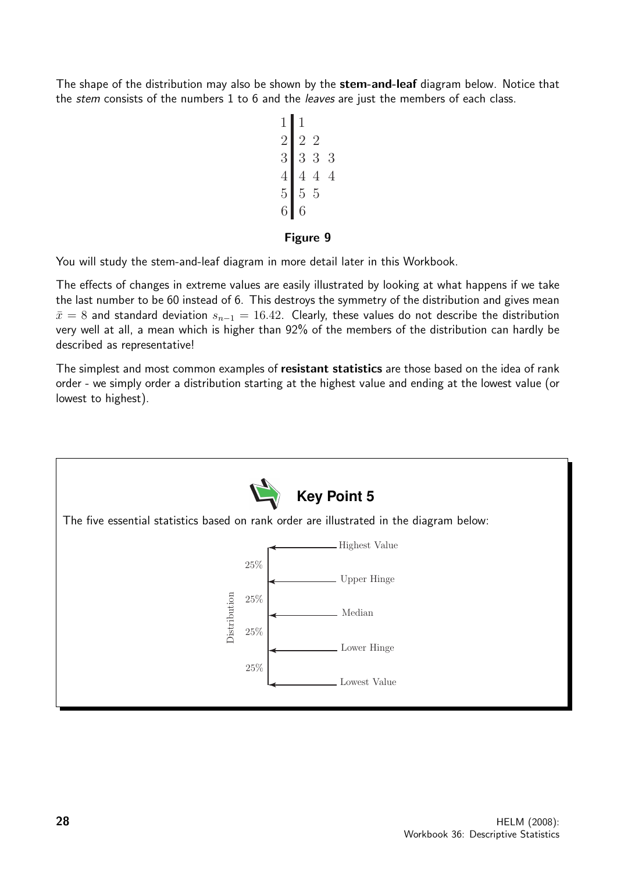The shape of the distribution may also be shown by the **stem-and-leaf** diagram below. Notice that the *stem* consists of the numbers 1 to 6 and the *leaves* are just the members of each class.

$$
\begin{array}{c|cccc}\n1 & 1 & & & \\
2 & 2 & 2 & & \\
3 & 3 & 3 & 3 & \\
4 & 4 & 4 & 4 & \\
5 & 5 & 5 & 5 & \\
6 & 6 & & & \\
\end{array}
$$

## Figure 9

You will study the stem-and-leaf diagram in more detail later in this Workbook.

The effects of changes in extreme values are easily illustrated by looking at what happens if we take the last number to be 60 instead of 6. This destroys the symmetry of the distribution and gives mean  $\bar{x} = 8$  and standard deviation  $s_{n-1} = 16.42$ . Clearly, these values do not describe the distribution very well at all, a mean which is higher than 92% of the members of the distribution can hardly be described as representative!

The simplest and most common examples of resistant statistics are those based on the idea of rank order - we simply order a distribution starting at the highest value and ending at the lowest value (or lowest to highest).

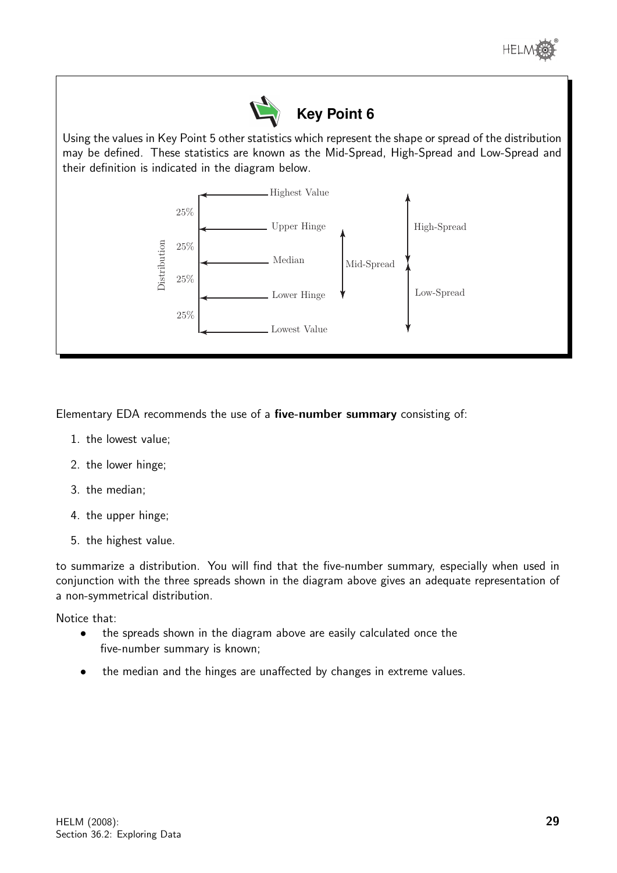



Using the values in Key Point 5 other statistics which represent the shape or spread of the distribution may be defined. These statistics are known as the Mid-Spread, High-Spread and Low-Spread and their definition is indicated in the diagram below.



Elementary EDA recommends the use of a five-number summary consisting of:

- 1. the lowest value;
- 2. the lower hinge;
- 3. the median;
- 4. the upper hinge;
- 5. the highest value.

to summarize a distribution. You will find that the five-number summary, especially when used in conjunction with the three spreads shown in the diagram above gives an adequate representation of a non-symmetrical distribution.

Notice that:

- the spreads shown in the diagram above are easily calculated once the five-number summary is known;
- the median and the hinges are unaffected by changes in extreme values.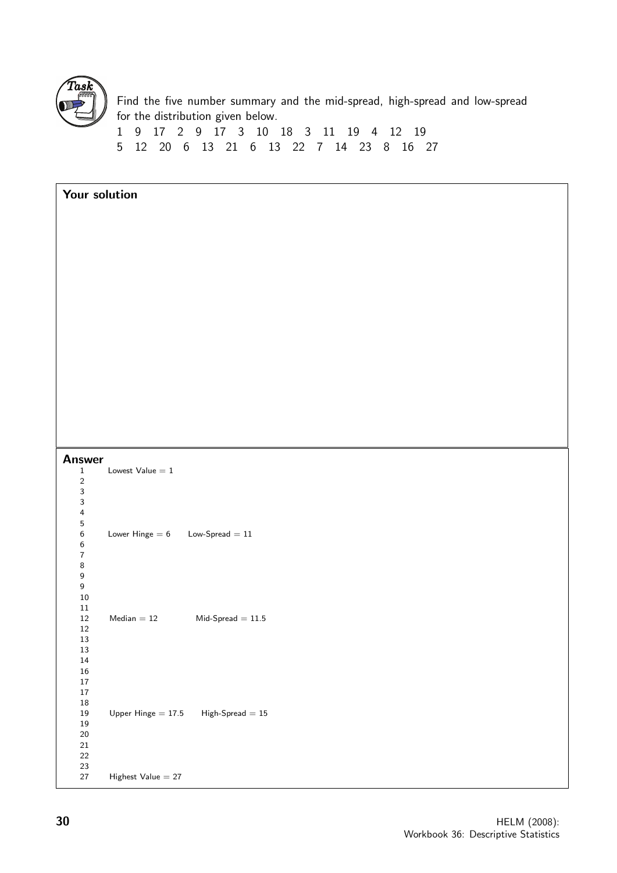

Find the five number summary and the mid-spread, high-spread and low-spread for the distribution given below.

1 9 17 2 9 17 3 10 18 3 11 19 4 12 19 5 12 20 6 13 21 6 13 22 7 14 23 8 16 27

| Your solution               |                                                                 |
|-----------------------------|-----------------------------------------------------------------|
|                             |                                                                 |
|                             |                                                                 |
|                             |                                                                 |
|                             |                                                                 |
|                             |                                                                 |
|                             |                                                                 |
|                             |                                                                 |
|                             |                                                                 |
|                             |                                                                 |
|                             |                                                                 |
|                             |                                                                 |
|                             |                                                                 |
| <b>Answer</b>               |                                                                 |
| $\mathbf 1$<br>$\sqrt{2}$   | Lowest $Value = 1$                                              |
| 3<br>$\mathbf{3}$           |                                                                 |
| $\pmb{4}$<br>$\mathbf 5$    |                                                                 |
| 6                           | Lower Hinge $= 6$<br>$\mathsf{Low}\text{-}\mathsf{Spread} = 11$ |
| 6<br>$\bf 7$                |                                                                 |
| $\bf 8$<br>$\boldsymbol{9}$ |                                                                 |
| $\boldsymbol{9}$<br>$10\,$  |                                                                 |
| $11\,$<br>$12\,$            | $\text{Median} = 12$<br>$Mid-Spread = 11.5$                     |
| $12\,$<br>$13\,$            |                                                                 |
| 13                          |                                                                 |
| $14\,$<br>$16\,$            |                                                                 |
| $17\,$<br>$17\,$            |                                                                 |
| $18\,$<br>$19\,$            | Upper Hinge $= 17.5$<br>${\rm High\text{-}Spread} = 15$         |
| $19\,$<br>$20\,$            |                                                                 |
| $21\,$<br>$22\,$            |                                                                 |
| $23\,$<br>$27\,$            | Highest Value $= 27$                                            |
|                             |                                                                 |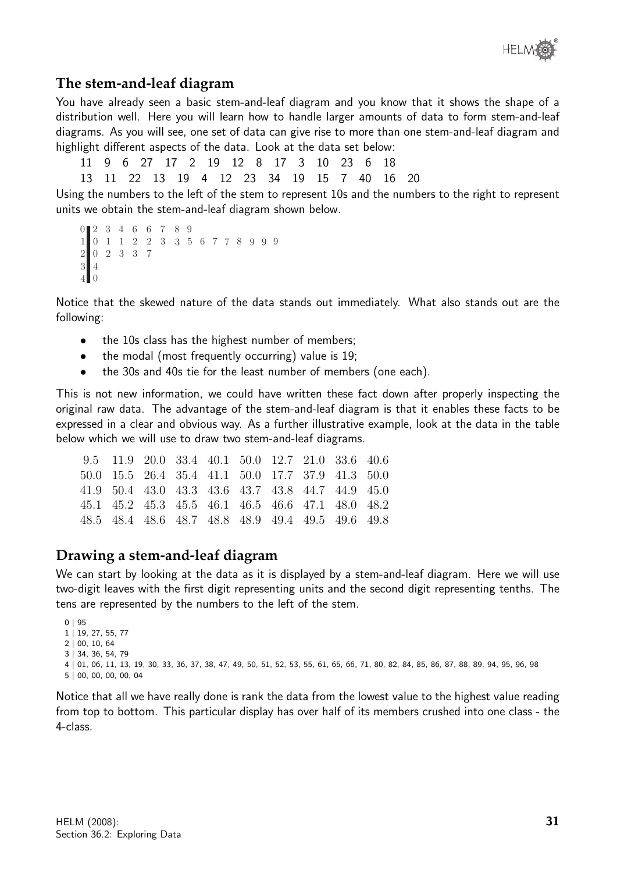

## **The stem-and-leaf diagram**

You have already seen a basic stem-and-leaf diagram and you know that it shows the shape of a distribution well. Here you will learn how to handle larger amounts of data to form stem-and-leaf diagrams. As you will see, one set of data can give rise to more than one stem-and-leaf diagram and highlight different aspects of the data. Look at the data set below:

11 9 6 27 17 2 19 12 8 17 3 10 23 6 18

13 11 22 13 19 4 12 23 34 19 15 7 40 16 20

Using the numbers to the left of the stem to represent 10s and the numbers to the right to represent units we obtain the stem-and-leaf diagram shown below.

```
2
0
3
4
6
6
7
8
9
0
1
1
1
2
2
3
3
5 6 7 7 8 9 9 9
0
2
2
3
3
7
4
3
4| 0
```
Notice that the skewed nature of the data stands out immediately. What also stands out are the following:

- the 10s class has the highest number of members;
- the modal (most frequently occurring) value is 19;
- the 30s and 40s tie for the least number of members (one each).

This is not new information, we could have written these fact down after properly inspecting the original raw data. The advantage of the stem-and-leaf diagram is that it enables these facts to be expressed in a clear and obvious way. As a further illustrative example, look at the data in the table below which we will use to draw two stem-and-leaf diagrams.

|  |  |  |  | 9.5 11.9 20.0 33.4 40.1 50.0 12.7 21.0 33.6 40.6  |  |
|--|--|--|--|---------------------------------------------------|--|
|  |  |  |  | 50.0 15.5 26.4 35.4 41.1 50.0 17.7 37.9 41.3 50.0 |  |
|  |  |  |  | 41.9 50.4 43.0 43.3 43.6 43.7 43.8 44.7 44.9 45.0 |  |
|  |  |  |  | 45.1 45.2 45.3 45.5 46.1 46.5 46.6 47.1 48.0 48.2 |  |
|  |  |  |  | 48.5 48.4 48.6 48.7 48.8 48.9 49.4 49.5 49.6 49.8 |  |

## **Drawing a stem-and-leaf diagram**

We can start by looking at the data as it is displayed by a stem-and-leaf diagram. Here we will use two-digit leaves with the first digit representing units and the second digit representing tenths. The tens are represented by the numbers to the left of the stem.

```
0 + 951 | 19, 27, 55, 77
2 | 00, 10, 64
3 | 34, 36, 54, 79
4 | 01, 06, 11, 13, 19, 30, 33, 36, 37, 38, 47, 49, 50, 51, 52, 53, 55, 61, 65, 66, 71, 80, 82, 84, 85, 86, 87, 88, 89, 94, 95, 96, 98
5 | 00, 00, 00, 00, 04
```
Notice that all we have really done is rank the data from the lowest value to the highest value reading from top to bottom. This particular display has over half of its members crushed into one class - the 4-class.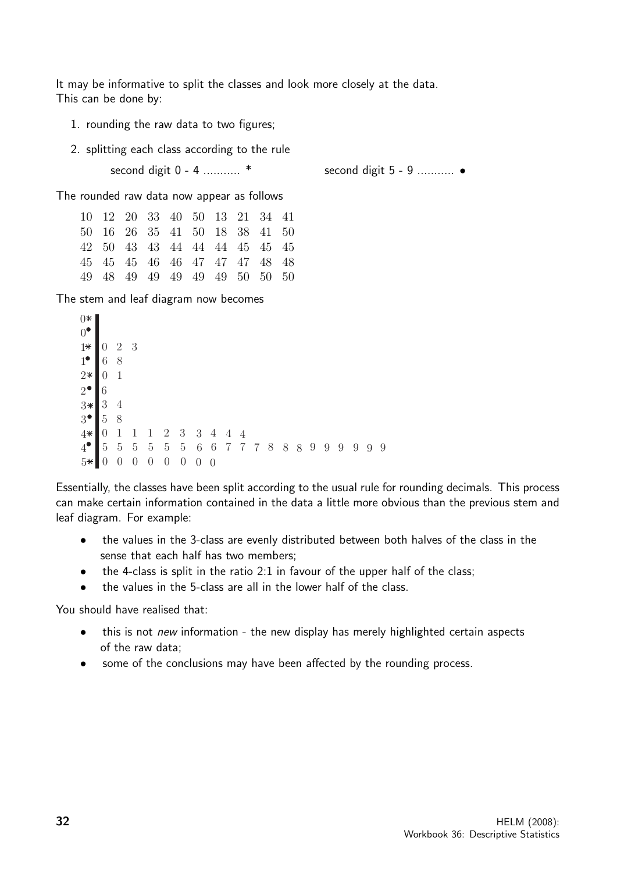It may be informative to split the classes and look more closely at the data. This can be done by:

- 1. rounding the raw data to two figures;
- 2. splitting each class according to the rule second digit 0 - 4 ........... \* second digit 5 - 9 ........... •

The rounded raw data now appear as follows

|  |  | 10 12 20 33 40 50 13 21 34 41 |  |  |
|--|--|-------------------------------|--|--|
|  |  | 50 16 26 35 41 50 18 38 41 50 |  |  |
|  |  | 42 50 43 43 44 44 44 45 45 45 |  |  |
|  |  | 45 45 45 46 46 47 47 47 48 48 |  |  |
|  |  | 49 48 49 49 49 49 49 50 50 50 |  |  |

The stem and leaf diagram now becomes

| $0*$          |                  |                |                |                |                  |            |                |                |                |                 |                 |   |   |   |   |   |     |   |   |     |
|---------------|------------------|----------------|----------------|----------------|------------------|------------|----------------|----------------|----------------|-----------------|-----------------|---|---|---|---|---|-----|---|---|-----|
| $0^{\bullet}$ |                  |                |                |                |                  |            |                |                |                |                 |                 |   |   |   |   |   |     |   |   |     |
| $1*$          | $\boldsymbol{0}$ | $\overline{2}$ | -3             |                |                  |            |                |                |                |                 |                 |   |   |   |   |   |     |   |   |     |
| $1^{\bullet}$ | 6                | 8              |                |                |                  |            |                |                |                |                 |                 |   |   |   |   |   |     |   |   |     |
| $2*$          | 0                | 1              |                |                |                  |            |                |                |                |                 |                 |   |   |   |   |   |     |   |   |     |
| $2^{\bullet}$ | 6                |                |                |                |                  |            |                |                |                |                 |                 |   |   |   |   |   |     |   |   |     |
| $3*$          | 3                | $\overline{4}$ |                |                |                  |            |                |                |                |                 |                 |   |   |   |   |   |     |   |   |     |
| $3^{\bullet}$ | $\overline{5}$   | 8              |                |                |                  |            |                |                |                |                 |                 |   |   |   |   |   |     |   |   |     |
| $4*$          | $\theta$         |                |                |                | 2                | 3          | $\mathfrak{Z}$ | $\overline{4}$ | 4              | $\overline{4}$  |                 |   |   |   |   |   |     |   |   |     |
| $4^{\bullet}$ | $\overline{5}$   | $5\,$          | $\overline{5}$ | $\overline{5}$ | $\overline{5}$   | $\bf 5$    | $\,6\,$        | $\,6\,$        | $\overline{7}$ | $7\overline{ }$ | $7\overline{ }$ | 8 | 8 | 8 | 9 | 9 | - 9 | 9 | 9 | - 9 |
| $5*$          | $\theta$         | $\theta$       | U              |                | $\left( \right)$ | $\sqrt{a}$ | $\overline{0}$ | $\theta$       |                |                 |                 |   |   |   |   |   |     |   |   |     |

Essentially, the classes have been split according to the usual rule for rounding decimals. This process can make certain information contained in the data a little more obvious than the previous stem and leaf diagram. For example:

- the values in the 3-class are evenly distributed between both halves of the class in the sense that each half has two members;
- the 4-class is split in the ratio 2:1 in favour of the upper half of the class;
- the values in the 5-class are all in the lower half of the class.

You should have realised that:

- this is not *new* information the new display has merely highlighted certain aspects of the raw data;
- some of the conclusions may have been affected by the rounding process.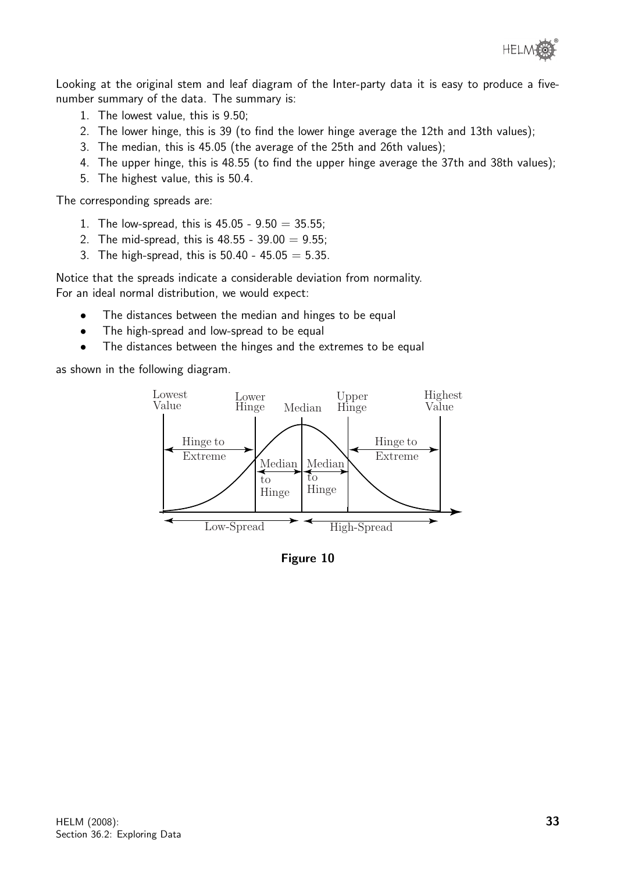

Looking at the original stem and leaf diagram of the Inter-party data it is easy to produce a fivenumber summary of the data. The summary is:

- 1. The lowest value, this is 9.50;
- 2. The lower hinge, this is 39 (to find the lower hinge average the 12th and 13th values);
- 3. The median, this is 45.05 (the average of the 25th and 26th values);
- 4. The upper hinge, this is 48.55 (to find the upper hinge average the 37th and 38th values);
- 5. The highest value, this is 50.4.

The corresponding spreads are:

- 1. The low-spread, this is  $45.05 9.50 = 35.55$ ;
- 2. The mid-spread, this is  $48.55 39.00 = 9.55$ ;
- 3. The high-spread, this is  $50.40 45.05 = 5.35$ .

Notice that the spreads indicate a considerable deviation from normality. For an ideal normal distribution, we would expect:

- The distances between the median and hinges to be equal
- The high-spread and low-spread to be equal
- The distances between the hinges and the extremes to be equal

as shown in the following diagram.



Figure 10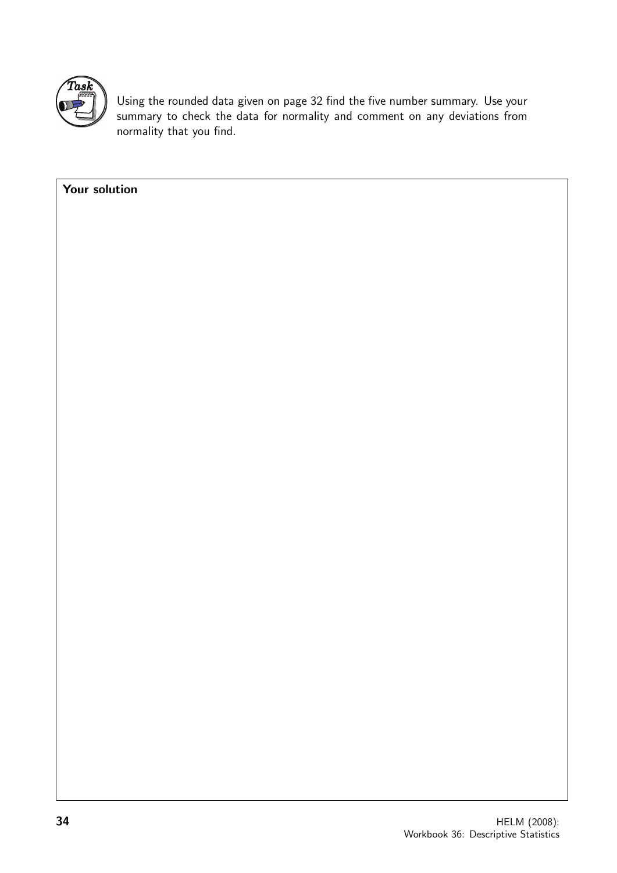

Using the rounded data given on page 32 find the five number summary. Use your summary to check the data for normality and comment on any deviations from normality that you find.

| 34            | HELM (2008): |
|---------------|--------------|
|               |              |
|               |              |
|               |              |
|               |              |
|               |              |
|               |              |
|               |              |
|               |              |
|               |              |
|               |              |
|               |              |
|               |              |
|               |              |
|               |              |
|               |              |
|               |              |
|               |              |
| Your solution |              |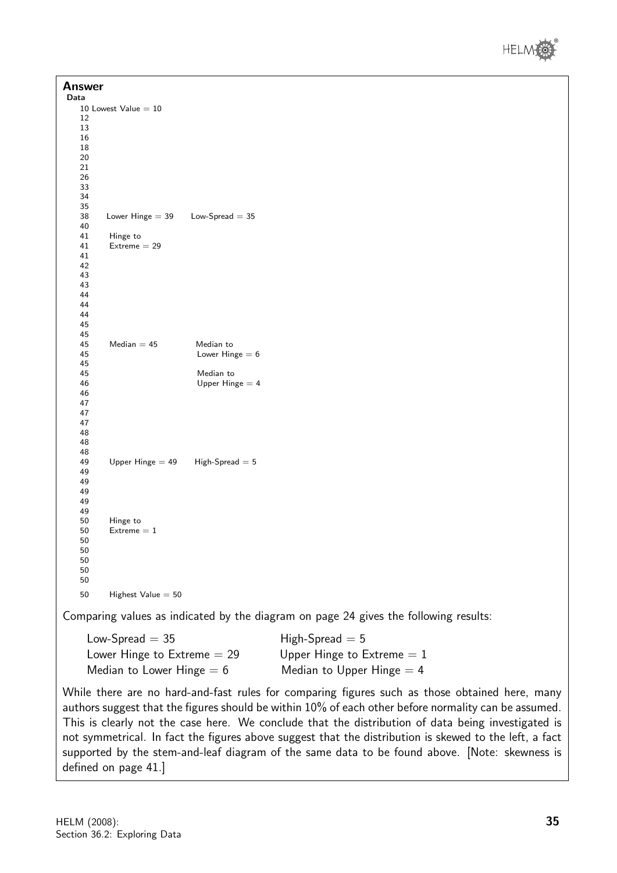

| <b>Answer</b><br>Data |                               |                   |                                                                                      |
|-----------------------|-------------------------------|-------------------|--------------------------------------------------------------------------------------|
|                       | 10 Lowest Value $= 10$        |                   |                                                                                      |
| 12                    |                               |                   |                                                                                      |
| 13                    |                               |                   |                                                                                      |
| 16                    |                               |                   |                                                                                      |
| 18                    |                               |                   |                                                                                      |
| 20                    |                               |                   |                                                                                      |
| 21                    |                               |                   |                                                                                      |
| 26<br>33              |                               |                   |                                                                                      |
| 34                    |                               |                   |                                                                                      |
| 35                    |                               |                   |                                                                                      |
| 38                    | Lower Hinge $=$ 39            | Low-Spread $=$ 35 |                                                                                      |
| 40                    |                               |                   |                                                                                      |
| 41                    | Hinge to                      |                   |                                                                                      |
| 41                    | $Extreme = 29$                |                   |                                                                                      |
| 41                    |                               |                   |                                                                                      |
| 42                    |                               |                   |                                                                                      |
| 43                    |                               |                   |                                                                                      |
| 43                    |                               |                   |                                                                                      |
| 44                    |                               |                   |                                                                                      |
| 44                    |                               |                   |                                                                                      |
| 44                    |                               |                   |                                                                                      |
| 45<br>45              |                               |                   |                                                                                      |
| 45                    | $Median = 45$                 | Median to         |                                                                                      |
| 45                    |                               | Lower Hinge $= 6$ |                                                                                      |
| 45                    |                               |                   |                                                                                      |
| 45                    |                               | Median to         |                                                                                      |
| 46                    |                               | Upper Hinge $=$ 4 |                                                                                      |
| 46                    |                               |                   |                                                                                      |
| 47                    |                               |                   |                                                                                      |
| 47                    |                               |                   |                                                                                      |
| 47                    |                               |                   |                                                                                      |
| 48                    |                               |                   |                                                                                      |
| 48                    |                               |                   |                                                                                      |
| 48                    |                               |                   |                                                                                      |
| 49<br>49              | Upper Hinge $=$ 49            | $High-Spread = 5$ |                                                                                      |
| 49                    |                               |                   |                                                                                      |
| 49                    |                               |                   |                                                                                      |
| 49                    |                               |                   |                                                                                      |
| 49                    |                               |                   |                                                                                      |
| 50                    | Hinge to                      |                   |                                                                                      |
| 50                    | $Extreme = 1$                 |                   |                                                                                      |
| 50                    |                               |                   |                                                                                      |
| 50                    |                               |                   |                                                                                      |
| 50                    |                               |                   |                                                                                      |
| 50                    |                               |                   |                                                                                      |
| 50<br>50              | Highest Value $= 50$          |                   |                                                                                      |
|                       |                               |                   | Comparing values as indicated by the diagram on page 24 gives the following results: |
|                       | Low-Spread $= 35$             |                   | $High-Spread = 5$                                                                    |
|                       |                               |                   |                                                                                      |
|                       | Lower Hinge to $Extreme = 29$ |                   | Upper Hinge to Extreme $= 1$                                                         |
|                       | Median to Lower Hinge $= 6$   |                   | Median to Upper Hinge $=$ 4                                                          |

While there are no hard-and-fast rules for comparing figures such as those obtained here, many authors suggest that the figures should be within 10% of each other before normality can be assumed. This is clearly not the case here. We conclude that the distribution of data being investigated is not symmetrical. In fact the figures above suggest that the distribution is skewed to the left, a fact supported by the stem-and-leaf diagram of the same data to be found above. [Note: skewness is defined on page 41.]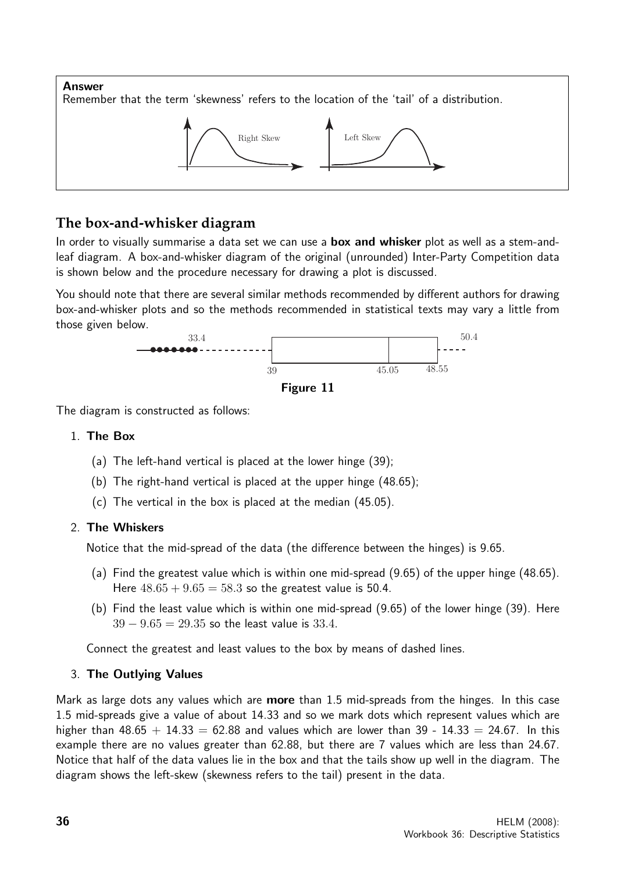

## **The box-and-whisker diagram**

In order to visually summarise a data set we can use a **box and whisker** plot as well as a stem-andleaf diagram. A box-and-whisker diagram of the original (unrounded) Inter-Party Competition data is shown below and the procedure necessary for drawing a plot is discussed.

You should note that there are several similar methods recommended by different authors for drawing box-and-whisker plots and so the methods recommended in statistical texts may vary a little from those given below.





The diagram is constructed as follows:

#### 1. The Box

- (a) The left-hand vertical is placed at the lower hinge (39);
- (b) The right-hand vertical is placed at the upper hinge (48.65);
- (c) The vertical in the box is placed at the median (45.05).

## 2. The Whiskers

Notice that the mid-spread of the data (the difference between the hinges) is 9.65.

- (a) Find the greatest value which is within one mid-spread (9.65) of the upper hinge (48.65). Here  $48.65 + 9.65 = 58.3$  so the greatest value is 50.4.
- (b) Find the least value which is within one mid-spread (9.65) of the lower hinge (39). Here  $39 - 9.65 = 29.35$  so the least value is 33.4.

Connect the greatest and least values to the box by means of dashed lines.

## 3. The Outlying Values

Mark as large dots any values which are **more** than 1.5 mid-spreads from the hinges. In this case 1.5 mid-spreads give a value of about 14.33 and so we mark dots which represent values which are higher than  $48.65 + 14.33 = 62.88$  and values which are lower than 39 - 14.33 = 24.67. In this example there are no values greater than 62.88, but there are 7 values which are less than 24.67. Notice that half of the data values lie in the box and that the tails show up well in the diagram. The diagram shows the left-skew (skewness refers to the tail) present in the data.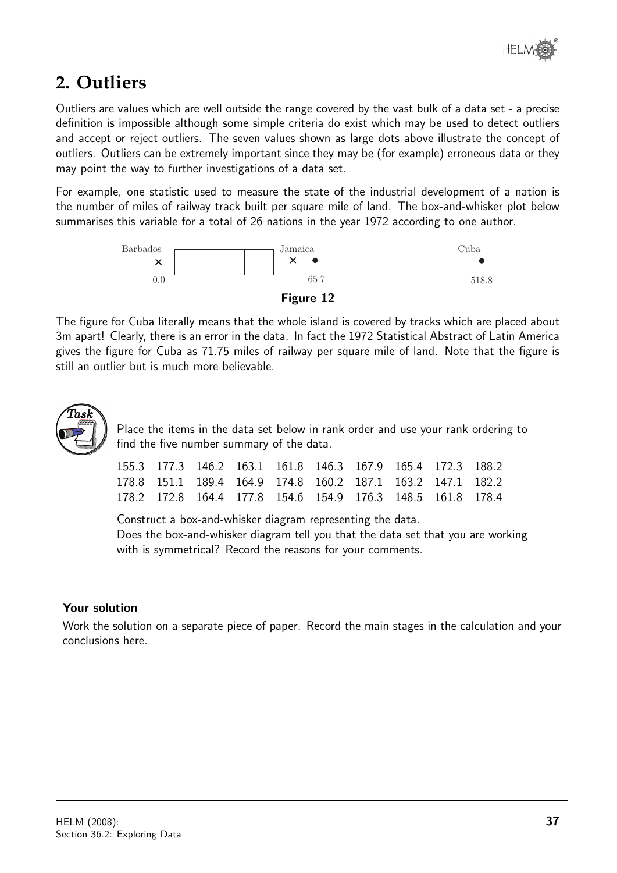

## **2. Outliers**

Outliers are values which are well outside the range covered by the vast bulk of a data set - a precise definition is impossible although some simple criteria do exist which may be used to detect outliers and accept or reject outliers. The seven values shown as large dots above illustrate the concept of outliers. Outliers can be extremely important since they may be (for example) erroneous data or they may point the way to further investigations of a data set.

For example, one statistic used to measure the state of the industrial development of a nation is the number of miles of railway track built per square mile of land. The box-and-whisker plot below summarises this variable for a total of 26 nations in the year 1972 according to one author.



The figure for Cuba literally means that the whole island is covered by tracks which are placed about 3m apart! Clearly, there is an error in the data. In fact the 1972 Statistical Abstract of Latin America gives the figure for Cuba as 71.75 miles of railway per square mile of land. Note that the figure is still an outlier but is much more believable.



Place the items in the data set below in rank order and use your rank ordering to find the five number summary of the data.

|  |  |  |  | 155.3 177.3 146.2 163.1 161.8 146.3 167.9 165.4 172.3 188.2 |  |
|--|--|--|--|-------------------------------------------------------------|--|
|  |  |  |  | 178.8 151.1 189.4 164.9 174.8 160.2 187.1 163.2 147.1 182.2 |  |
|  |  |  |  | 178.2 172.8 164.4 177.8 154.6 154.9 176.3 148.5 161.8 178.4 |  |

Construct a box-and-whisker diagram representing the data. Does the box-and-whisker diagram tell you that the data set that you are working with is symmetrical? Record the reasons for your comments.

## Your solution

Work the solution on a separate piece of paper. Record the main stages in the calculation and your conclusions here.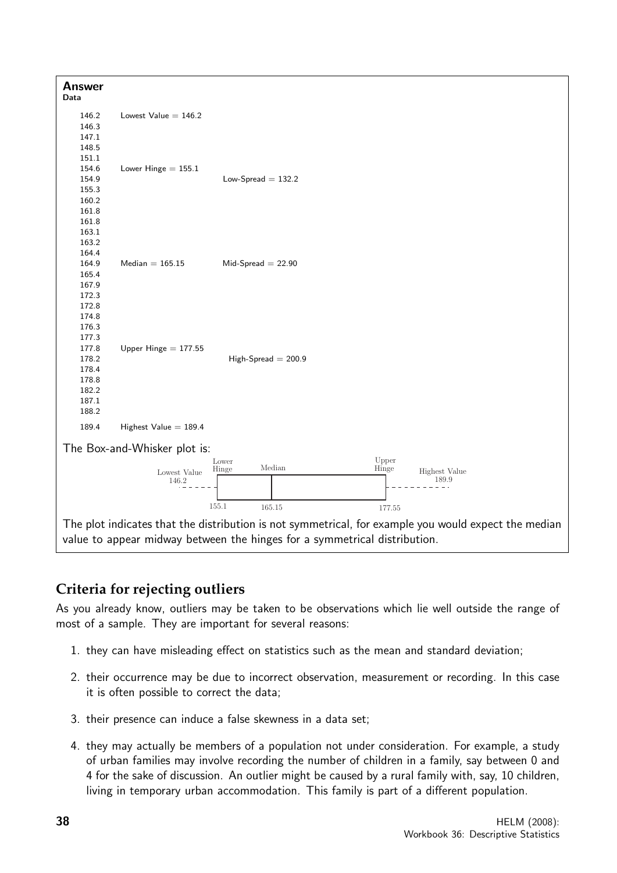

## **Criteria for rejecting outliers**

As you already know, outliers may be taken to be observations which lie well outside the range of most of a sample. They are important for several reasons:

- 1. they can have misleading effect on statistics such as the mean and standard deviation;
- 2. their occurrence may be due to incorrect observation, measurement or recording. In this case it is often possible to correct the data;
- 3. their presence can induce a false skewness in a data set;
- 4. they may actually be members of a population not under consideration. For example, a study of urban families may involve recording the number of children in a family, say between 0 and 4 for the sake of discussion. An outlier might be caused by a rural family with, say, 10 children, living in temporary urban accommodation. This family is part of a different population.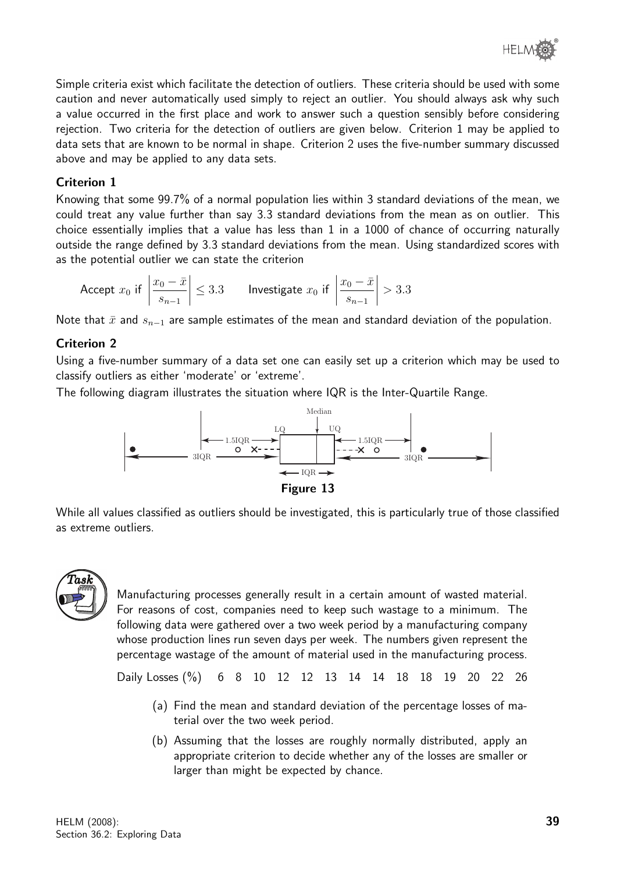Simple criteria exist which facilitate the detection of outliers. These criteria should be used with some caution and never automatically used simply to reject an outlier. You should always ask why such a value occurred in the first place and work to answer such a question sensibly before considering rejection. Two criteria for the detection of outliers are given below. Criterion 1 may be applied to data sets that are known to be normal in shape. Criterion 2 uses the five-number summary discussed above and may be applied to any data sets.

## Criterion 1

Knowing that some 99.7% of a normal population lies within 3 standard deviations of the mean, we could treat any value further than say 3.3 standard deviations from the mean as on outlier. This choice essentially implies that a value has less than 1 in a 1000 of chance of occurring naturally outside the range defined by 3.3 standard deviations from the mean. Using standardized scores with as the potential outlier we can state the criterion

Accept 
$$
x_0
$$
 if  $\left| \frac{x_0 - \bar{x}}{s_{n-1}} \right| \le 3.3$  Investigate  $x_0$  if  $\left| \frac{x_0 - \bar{x}}{s_{n-1}} \right| > 3.3$ 

Note that  $\bar{x}$  and  $s_{n-1}$  are sample estimates of the mean and standard deviation of the population.

## Criterion 2

Using a five-number summary of a data set one can easily set up a criterion which may be used to classify outliers as either 'moderate' or 'extreme'.

The following diagram illustrates the situation where IQR is the Inter-Quartile Range.



While all values classified as outliers should be investigated, this is particularly true of those classified as extreme outliers.



Manufacturing processes generally result in a certain amount of wasted material. For reasons of cost, companies need to keep such wastage to a minimum. The following data were gathered over a two week period by a manufacturing company whose production lines run seven days per week. The numbers given represent the percentage wastage of the amount of material used in the manufacturing process.

Daily Losses (%) 6 8 10 12 12 13 14 14 18 18 19 20 22 26

- (a) Find the mean and standard deviation of the percentage losses of material over the two week period.
- (b) Assuming that the losses are roughly normally distributed, apply an appropriate criterion to decide whether any of the losses are smaller or larger than might be expected by chance.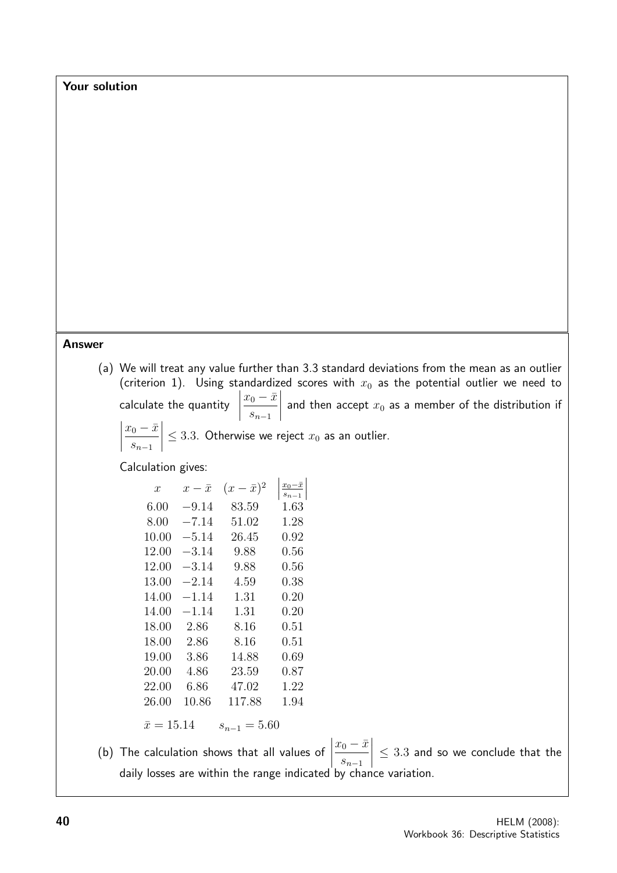Your solution

#### Answer

(a) We will treat any value further than 3.3 standard deviations from the mean as an outlier (criterion 1). Using standardized scores with  $x_0$  as the potential outlier we need to calculate the quantity  $x_0 - \bar{x}$  $s_{n-1}$  and then accept  $x_0$  as a member of the distribution if  $\overline{\phantom{a}}$ 

$$
\left|\frac{x_0 - \bar{x}}{s_{n-1}}\right| \le 3.3.
$$
 Otherwise we reject  $x_0$  as an outlier.

Calculation gives:

 $\overline{\phantom{a}}$ 

| $\boldsymbol{x}$  | $x-\bar{x}$ | $(x-\bar{x})^2$  | $\frac{x_0 - \bar{x}}{x_0 - \bar{x}}$<br>$s_{n-1}$ |
|-------------------|-------------|------------------|----------------------------------------------------|
| 6.00              | $-9.14$     | 83.59            | $1.63\,$                                           |
| 8.00              | $-7.14$     | 51.02            | 1.28                                               |
| 10.00             | $-5.14\,$   | 26.45            | 0.92                                               |
| 12.00             | $-3.14\,$   | 9.88             | 0.56                                               |
| 12.00             | $-3.14$     | 9.88             | $\rm 0.56$                                         |
| 13.00             | $-2.14$     | 4.59             | $0.38\,$                                           |
| 14.00             | $-1.14$     | 1.31             | $0.20\,$                                           |
| 14.00             | $-1.14$     | 1.31             | $0.20\,$                                           |
| 18.00             | 2.86        | 8.16             | 0.51                                               |
| 18.00             | 2.86        | 8.16             | $0.51\,$                                           |
| 19.00             | 3.86        | 14.88            | 0.69                                               |
| 20.00             | 4.86        | 23.59            | 0.87                                               |
| 22.00             | 6.86        | 47.02            | 1.22                                               |
| 26.00             | 10.86       | 117.88           | 1.94                                               |
| $\bar{x} = 15.14$ |             | $s_{n-1} = 5.60$ |                                                    |

(b) The calculation shows that all values of  $\begin{array}{c} \begin{array}{c} \begin{array}{c} \end{array} \\ \begin{array}{c} \end{array} \end{array} \end{array}$  $x_0 - \bar{x}$  $s_{n-1}$   $\leq 3.3$  and so we conclude that the daily losses are within the range indicated by chance variation.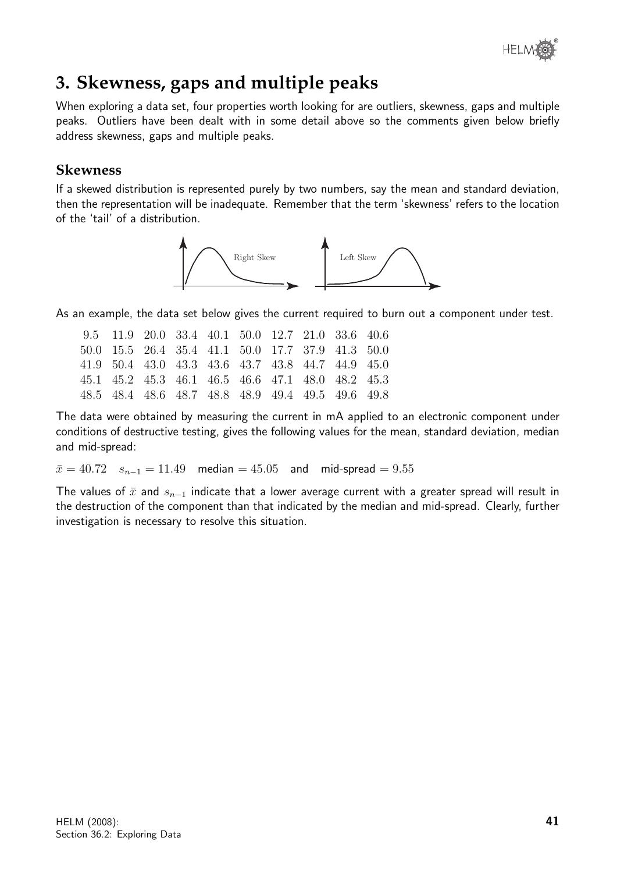

# **3. Skewness, gaps and multiple peaks**

When exploring a data set, four properties worth looking for are outliers, skewness, gaps and multiple peaks. Outliers have been dealt with in some detail above so the comments given below briefly address skewness, gaps and multiple peaks.

## **Skewness**

If a skewed distribution is represented purely by two numbers, say the mean and standard deviation, then the representation will be inadequate. Remember that the term 'skewness' refers to the location of the 'tail' of a distribution.



As an example, the data set below gives the current required to burn out a component under test.

| 9.5 11.9 20.0 33.4 40.1 50.0 12.7 21.0 33.6 40.6  |  |  |  |  |
|---------------------------------------------------|--|--|--|--|
| 50.0 15.5 26.4 35.4 41.1 50.0 17.7 37.9 41.3 50.0 |  |  |  |  |
| 41.9 50.4 43.0 43.3 43.6 43.7 43.8 44.7 44.9 45.0 |  |  |  |  |
| 45.1 45.2 45.3 46.1 46.5 46.6 47.1 48.0 48.2 45.3 |  |  |  |  |
| 48.5 48.4 48.6 48.7 48.8 48.9 49.4 49.5 49.6 49.8 |  |  |  |  |

The data were obtained by measuring the current in mA applied to an electronic component under conditions of destructive testing, gives the following values for the mean, standard deviation, median and mid-spread:

 $\bar{x} = 40.72$   $s_{n-1} = 11.49$  median = 45.05 and mid-spread = 9.55

The values of  $\bar{x}$  and  $s_{n-1}$  indicate that a lower average current with a greater spread will result in the destruction of the component than that indicated by the median and mid-spread. Clearly, further investigation is necessary to resolve this situation.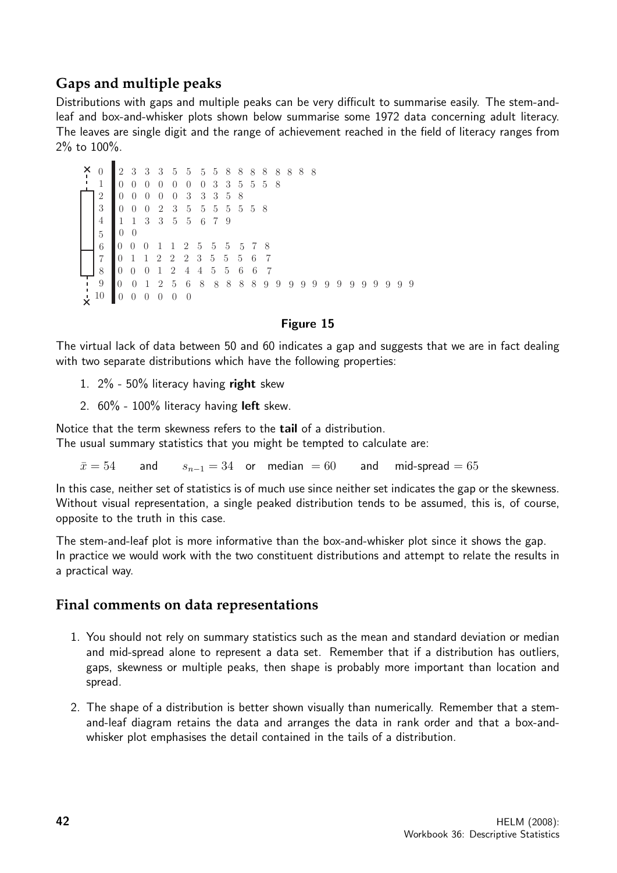## **Gaps and multiple peaks**

Distributions with gaps and multiple peaks can be very difficult to summarise easily. The stem-andleaf and box-and-whisker plots shown below summarise some 1972 data concerning adult literacy. The leaves are single digit and the range of achievement reached in the field of literacy ranges from 2% to 100%.

```
\theta10
0 1 2 5 6 8 8 8 8 8 9 9 9 9 9 9 9 9 9 9
9
9 9 9
    \overline{0}\overline{0}\theta\theta1
       \theta\theta5
6
7
8
\theta1
2
3
4
    0 0
    1 1 3 3 5 5 6 7 9
    0 0 0 2 3 5 5 5 5 5 5 8
    0 0 0 0 0 3 3 3 5 8
    0 0 0 0 0 0 0 3 3 5 5 5 8
    2 3 3 3 5 5 5 5 8 8 8 8 8 8 8 8
            1 1 2 5 5 5 5 7 8
         1 2 2 2 3 5 5 5 6 7
          0 1 2 4 4 5 5 6 6 7
    0 0 0 0 0 0
```
#### Figure 15

The virtual lack of data between 50 and 60 indicates a gap and suggests that we are in fact dealing with two separate distributions which have the following properties:

- 1.  $2\%$  50% literacy having right skew
- 2. 60% 100% literacy having left skew.

Notice that the term skewness refers to the tail of a distribution. The usual summary statistics that you might be tempted to calculate are:

 $\bar{x} = 54$  and  $s_{n-1} = 34$  or median = 60 and mid-spread = 65

In this case, neither set of statistics is of much use since neither set indicates the gap or the skewness. Without visual representation, a single peaked distribution tends to be assumed, this is, of course, opposite to the truth in this case.

The stem-and-leaf plot is more informative than the box-and-whisker plot since it shows the gap. In practice we would work with the two constituent distributions and attempt to relate the results in a practical way.

## **Final comments on data representations**

- 1. You should not rely on summary statistics such as the mean and standard deviation or median and mid-spread alone to represent a data set. Remember that if a distribution has outliers, gaps, skewness or multiple peaks, then shape is probably more important than location and spread.
- 2. The shape of a distribution is better shown visually than numerically. Remember that a stemand-leaf diagram retains the data and arranges the data in rank order and that a box-andwhisker plot emphasises the detail contained in the tails of a distribution.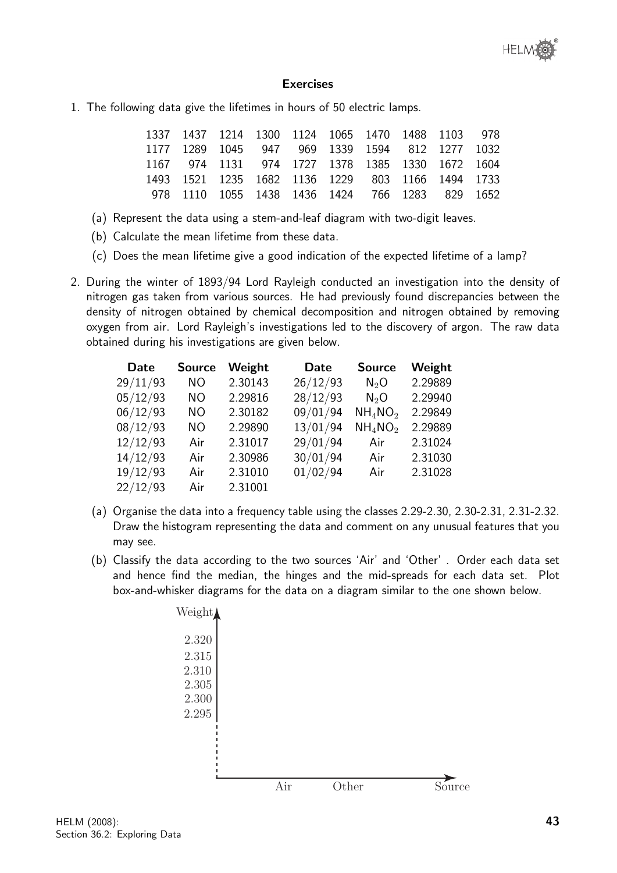#### Exercises

1. The following data give the lifetimes in hours of 50 electric lamps.

| 1337 1437 1214 1300 1124 1065 1470 1488 1103 978 |  |  |  |  |
|--------------------------------------------------|--|--|--|--|
| 1177 1289 1045 947 969 1339 1594 812 1277 1032   |  |  |  |  |
| 1167 974 1131 974 1727 1378 1385 1330 1672 1604  |  |  |  |  |
| 1493 1521 1235 1682 1136 1229 803 1166 1494 1733 |  |  |  |  |
| 978 1110 1055 1438 1436 1424 766 1283 829 1652   |  |  |  |  |

- (a) Represent the data using a stem-and-leaf diagram with two-digit leaves.
- (b) Calculate the mean lifetime from these data.
- (c) Does the mean lifetime give a good indication of the expected lifetime of a lamp?
- 2. During the winter of 1893/94 Lord Rayleigh conducted an investigation into the density of nitrogen gas taken from various sources. He had previously found discrepancies between the density of nitrogen obtained by chemical decomposition and nitrogen obtained by removing oxygen from air. Lord Rayleigh's investigations led to the discovery of argon. The raw data obtained during his investigations are given below.

| <b>Date</b> | <b>Source</b> | Weight  | <b>Date</b> | <b>Source</b> | Weight  |
|-------------|---------------|---------|-------------|---------------|---------|
| 29/11/93    | <b>NO</b>     | 2.30143 | 26/12/93    | $N_2O$        | 2.29889 |
| 05/12/93    | NO.           | 2.29816 | 28/12/93    | $N_2O$        | 2.29940 |
| 06/12/93    | <b>NO</b>     | 2.30182 | 09/01/94    | $NH_4NO_2$    | 2.29849 |
| 08/12/93    | NO.           | 2.29890 | 13/01/94    | $NH_4NO_2$    | 2.29889 |
| 12/12/93    | Air           | 2.31017 | 29/01/94    | Air           | 2.31024 |
| 14/12/93    | Air           | 2.30986 | 30/01/94    | Air           | 2.31030 |
| 19/12/93    | Air           | 2.31010 | 01/02/94    | Air           | 2.31028 |
| 22/12/93    | Air           | 2.31001 |             |               |         |

- (a) Organise the data into a frequency table using the classes 2.29-2.30, 2.30-2.31, 2.31-2.32. Draw the histogram representing the data and comment on any unusual features that you may see.
- (b) Classify the data according to the two sources 'Air' and 'Other' . Order each data set and hence find the median, the hinges and the mid-spreads for each data set. Plot box-and-whisker diagrams for the data on a diagram similar to the one shown below.

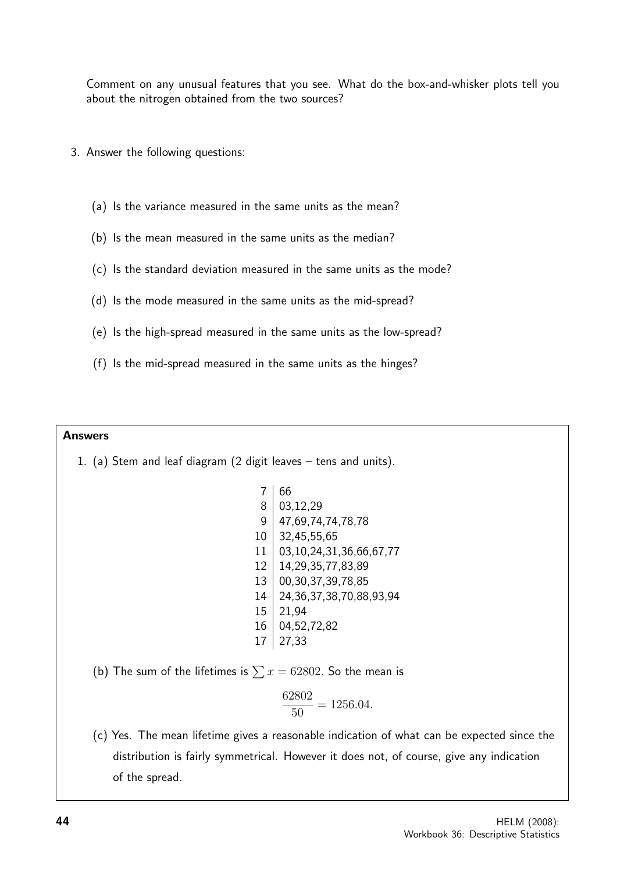Comment on any unusual features that you see. What do the box-and-whisker plots tell you about the nitrogen obtained from the two sources?

- 3. Answer the following questions:
	- (a) Is the variance measured in the same units as the mean?
	- (b) Is the mean measured in the same units as the median?
	- (c) Is the standard deviation measured in the same units as the mode?
	- (d) Is the mode measured in the same units as the mid-spread?
	- (e) Is the high-spread measured in the same units as the low-spread?
	- (f) Is the mid-spread measured in the same units as the hinges?

#### Answers

1. (a) Stem and leaf diagram (2 digit leaves – tens and units).

 $7 | 66$  $8 \mid 03,12,29$  $9 \mid 47,69,74,74,78,78$ 10 32,45,55,65 11 03,10,24,31,36,66,67,77 12 14,29,35,77,83,89 13 00,30,37,39,78,85 14 24,36,37,38,70,88,93,94  $15 \mid 21.94$ 16 04,52,72,82  $17 \mid 27,33$ 

(b) The sum of the lifetimes is  $\sum x = 62802$ . So the mean is

$$
\frac{62802}{50} = 1256.04.
$$

(c) Yes. The mean lifetime gives a reasonable indication of what can be expected since the distribution is fairly symmetrical. However it does not, of course, give any indication of the spread.